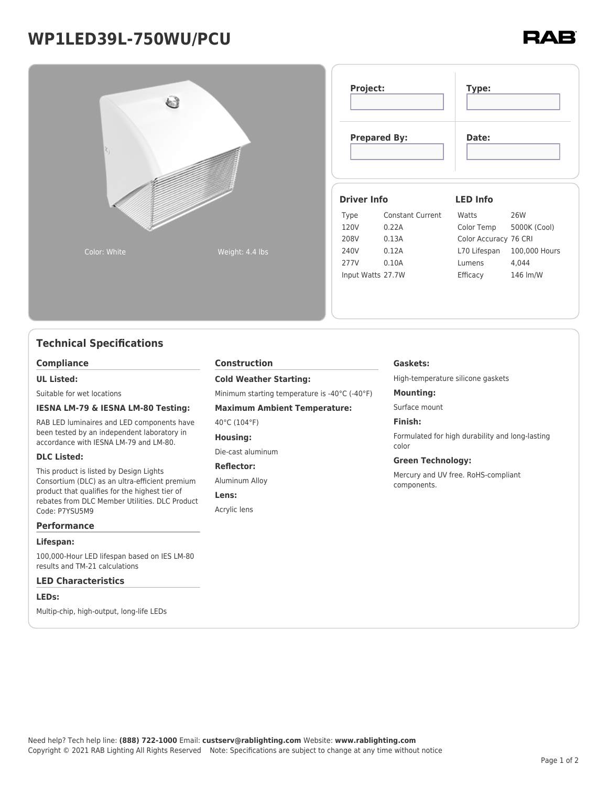# **WP1LED39L-750WU/PCU**



# **Technical Specifications**

#### **Compliance**

#### **UL Listed:**

Suitable for wet locations

#### **IESNA LM-79 & IESNA LM-80 Testing:**

RAB LED luminaires and LED components have been tested by an independent laboratory in accordance with IESNA LM-79 and LM-80.

#### **DLC Listed:**

This product is listed by Design Lights Consortium (DLC) as an ultra-efficient premium product that qualifies for the highest tier of rebates from DLC Member Utilities. DLC Product Code: P7YSU5M9

#### **Performance**

#### **Lifespan:**

100,000-Hour LED lifespan based on IES LM-80 results and TM-21 calculations

#### **LED Characteristics**

#### **LEDs:**

Multip-chip, high-output, long-life LEDs

### **Construction**

#### **Cold Weather Starting:**

Minimum starting temperature is -40°C (-40°F)

**Maximum Ambient Temperature:**

#### 40°C (104°F)

**Housing:**

Die-cast aluminum

#### **Reflector:**

Aluminum Alloy

#### **Lens:**

Acrylic lens

#### **Gaskets:**

High-temperature silicone gaskets

#### **Mounting:**

Surface mount

#### **Finish:**

Formulated for high durability and long-lasting color

#### **Green Technology:**

Mercury and UV free. RoHS-compliant components.